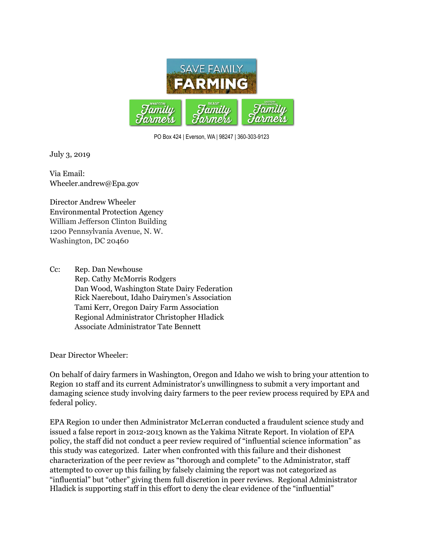

PO Box 424 | Everson, WA | 98247 | 360-303-9123

July 3, 2019

Via Email: Wheeler.andrew@Epa.gov

Director Andrew Wheeler Environmental Protection Agency William Jefferson Clinton Building 1200 Pennsylvania Avenue, N. W. Washington, DC 20460

Cc: Rep. Dan Newhouse Rep. Cathy McMorris Rodgers Dan Wood, Washington State Dairy Federation Rick Naerebout, Idaho Dairymen's Association Tami Kerr, Oregon Dairy Farm Association Regional Administrator Christopher Hladick Associate Administrator Tate Bennett

Dear Director Wheeler:

On behalf of dairy farmers in Washington, Oregon and Idaho we wish to bring your attention to Region 10 staff and its current Administrator's unwillingness to submit a very important and damaging science study involving dairy farmers to the peer review process required by EPA and federal policy.

EPA Region 10 under then Administrator McLerran conducted a fraudulent science study and issued a false report in 2012-2013 known as the Yakima Nitrate Report. In violation of EPA policy, the staff did not conduct a peer review required of "influential science information" as this study was categorized. Later when confronted with this failure and their dishonest characterization of the peer review as "thorough and complete" to the Administrator, staff attempted to cover up this failing by falsely claiming the report was not categorized as "influential" but "other" giving them full discretion in peer reviews. Regional Administrator Hladick is supporting staff in this effort to deny the clear evidence of the "influential"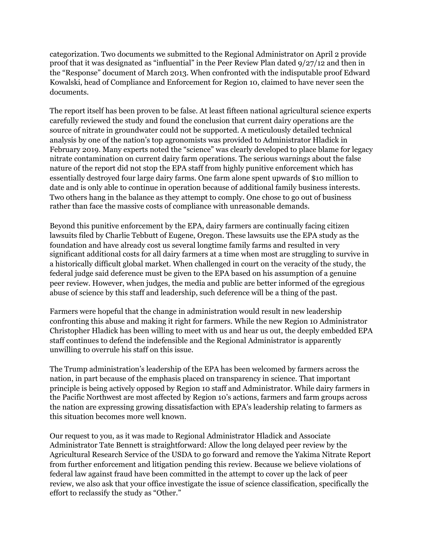categorization. Two documents we submitted to the Regional Administrator on April 2 provide proof that it was designated as "influential" in the Peer Review Plan dated 9/27/12 and then in the "Response" document of March 2013. When confronted with the indisputable proof Edward Kowalski, head of Compliance and Enforcement for Region 10, claimed to have never seen the documents.

The report itself has been proven to be false. At least fifteen national agricultural science experts carefully reviewed the study and found the conclusion that current dairy operations are the source of nitrate in groundwater could not be supported. A meticulously detailed technical analysis by one of the nation's top agronomists was provided to Administrator Hladick in February 2019. Many experts noted the "science" was clearly developed to place blame for legacy nitrate contamination on current dairy farm operations. The serious warnings about the false nature of the report did not stop the EPA staff from highly punitive enforcement which has essentially destroyed four large dairy farms. One farm alone spent upwards of \$10 million to date and is only able to continue in operation because of additional family business interests. Two others hang in the balance as they attempt to comply. One chose to go out of business rather than face the massive costs of compliance with unreasonable demands.

Beyond this punitive enforcement by the EPA, dairy farmers are continually facing citizen lawsuits filed by Charlie Tebbutt of Eugene, Oregon. These lawsuits use the EPA study as the foundation and have already cost us several longtime family farms and resulted in very significant additional costs for all dairy farmers at a time when most are struggling to survive in a historically difficult global market. When challenged in court on the veracity of the study, the federal judge said deference must be given to the EPA based on his assumption of a genuine peer review. However, when judges, the media and public are better informed of the egregious abuse of science by this staff and leadership, such deference will be a thing of the past.

Farmers were hopeful that the change in administration would result in new leadership confronting this abuse and making it right for farmers. While the new Region 10 Administrator Christopher Hladick has been willing to meet with us and hear us out, the deeply embedded EPA staff continues to defend the indefensible and the Regional Administrator is apparently unwilling to overrule his staff on this issue.

The Trump administration's leadership of the EPA has been welcomed by farmers across the nation, in part because of the emphasis placed on transparency in science. That important principle is being actively opposed by Region 10 staff and Administrator. While dairy farmers in the Pacific Northwest are most affected by Region 10's actions, farmers and farm groups across the nation are expressing growing dissatisfaction with EPA's leadership relating to farmers as this situation becomes more well known.

Our request to you, as it was made to Regional Administrator Hladick and Associate Administrator Tate Bennett is straightforward: Allow the long delayed peer review by the Agricultural Research Service of the USDA to go forward and remove the Yakima Nitrate Report from further enforcement and litigation pending this review. Because we believe violations of federal law against fraud have been committed in the attempt to cover up the lack of peer review, we also ask that your office investigate the issue of science classification, specifically the effort to reclassify the study as "Other."